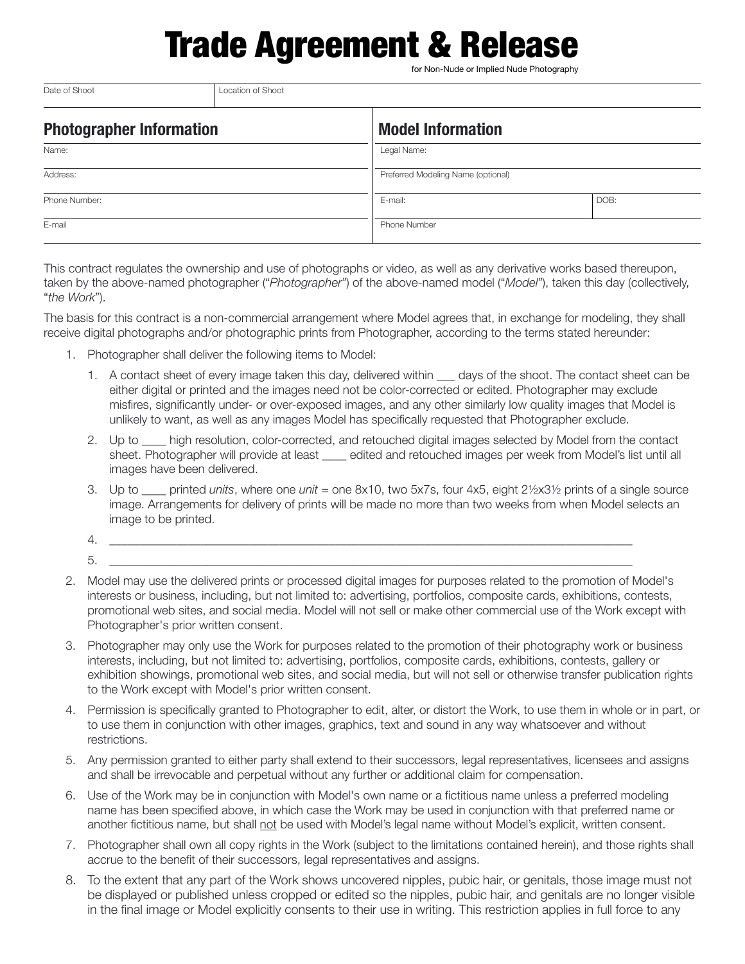## **Trade Agreement & Rel**

for Non-Nude or Implied Nude Photography

| <b>Photographer Information</b> | <b>Model Information</b>           |      |
|---------------------------------|------------------------------------|------|
| Name:                           | Legal Name:                        |      |
| Address:                        | Preferred Modeling Name (optional) |      |
| Phone Number:                   | E-mail:                            | DOB: |
| E-mail                          | Phone Number                       |      |

This contract regulates the ownership and use of photographs or video, as well as any derivative works based thereupon, taken by the above-named photographer ("*Photographer"*) of the above-named model ("*Model"*), taken this day (collectively, "*the Work*").

The basis for this contract is a non-commercial arrangement where Model agrees that, in exchange for modeling, they shall receive digital photographs and/or photographic prints from Photographer, according to the terms stated hereunder:

- 1. Photographer shall deliver the following items to Model:
	- 1. A contact sheet of every image taken this day, delivered within days of the shoot. The contact sheet can be either digital or printed and the images need not be color-corrected or edited. Photographer may exclude misfires, significantly under- or over-exposed images, and any other similarly low quality images that Model is unlikely to want, as well as any images Model has specifically requested that Photographer exclude.
	- 2. Up to \_\_\_\_ high resolution, color-corrected, and retouched digital images selected by Model from the contact sheet. Photographer will provide at least \_\_\_\_ edited and retouched images per week from Model's list until all images have been delivered.
	- 3. Up to \_\_\_\_ printed *units*, where one *unit* = one 8x10, two 5x7s, four 4x5, eight 2½x3½ prints of a single source image. Arrangements for delivery of prints will be made no more than two weeks from when Model selects an image to be printed.
	- 4. \_\_\_\_\_\_\_\_\_\_\_\_\_\_\_\_\_\_\_\_\_\_\_\_\_\_\_\_\_\_\_\_\_\_\_\_\_\_\_\_\_\_\_\_\_\_\_\_\_\_\_\_\_\_\_\_\_\_\_\_\_\_\_\_\_\_\_\_\_\_\_\_\_\_\_\_\_\_\_\_\_\_\_\_\_\_
	- 5. \_\_\_\_\_\_\_\_\_\_\_\_\_\_\_\_\_\_\_\_\_\_\_\_\_\_\_\_\_\_\_\_\_\_\_\_\_\_\_\_\_\_\_\_\_\_\_\_\_\_\_\_\_\_\_\_\_\_\_\_\_\_\_\_\_\_\_\_\_\_\_\_\_\_\_\_\_\_\_\_\_\_\_\_\_\_

Date of Shoot **Date of Shoot Location of Shoot** 

- 2. Model may use the delivered prints or processed digital images for purposes related to the promotion of Model's interests or business, including, but not limited to: advertising, portfolios, composite cards, exhibitions, contests, promotional web sites, and social media. Model will not sell or make other commercial use of the Work except with Photographer's prior written consent.
- 3. Photographer may only use the Work for purposes related to the promotion of their photography work or business interests, including, but not limited to: advertising, portfolios, composite cards, exhibitions, contests, gallery or exhibition showings, promotional web sites, and social media, but will not sell or otherwise transfer publication rights to the Work except with Model's prior written consent.
- 4. Permission is specifically granted to Photographer to edit, alter, or distort the Work, to use them in whole or in part, or to use them in conjunction with other images, graphics, text and sound in any way whatsoever and without restrictions.
- 5. Any permission granted to either party shall extend to their successors, legal representatives, licensees and assigns and shall be irrevocable and perpetual without any further or additional claim for compensation.
- 6. Use of the Work may be in conjunction with Model's own name or a fictitious name unless a preferred modeling name has been specified above, in which case the Work may be used in conjunction with that preferred name or another fictitious name, but shall not be used with Model's legal name without Model's explicit, written consent.
- 7. Photographer shall own all copy rights in the Work (subject to the limitations contained herein), and those rights shall accrue to the benefit of their successors, legal representatives and assigns.
- 8. To the extent that any part of the Work shows uncovered nipples, pubic hair, or genitals, those image must not be displayed or published unless cropped or edited so the nipples, pubic hair, and genitals are no longer visible in the final image or Model explicitly consents to their use in writing. This restriction applies in full force to any